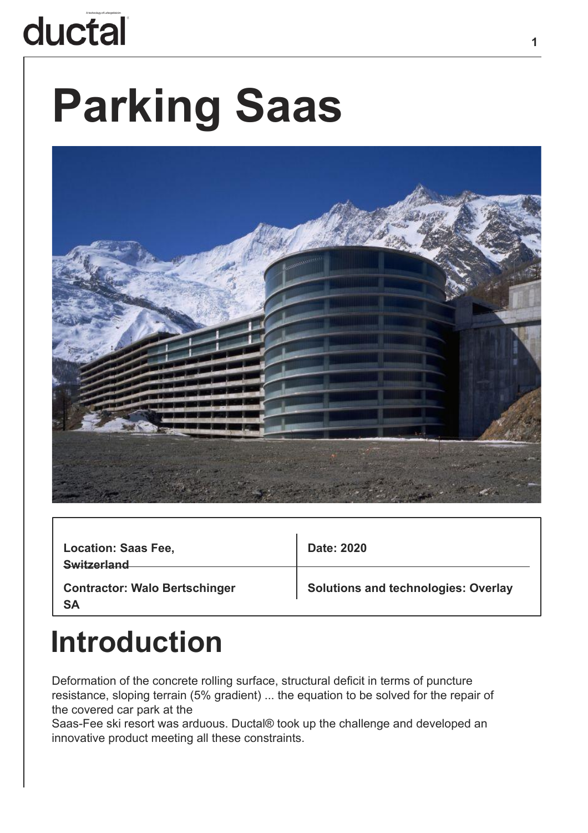# ductal

# **Parking Saas**



| <b>Location: Saas Fee,</b><br><b>Switzerland</b>  | Date: 2020                                 |
|---------------------------------------------------|--------------------------------------------|
| <b>Contractor: Walo Bertschinger</b><br><b>SA</b> | <b>Solutions and technologies: Overlay</b> |

#### **Introduction**

Deformation of the concrete rolling surface, structural deficit in terms of puncture resistance, sloping terrain (5% gradient) ... the equation to be solved for the repair of the covered car park at the

Saas-Fee ski resort was arduous. Ductal® took up the challenge and developed an innovative product meeting all these constraints.